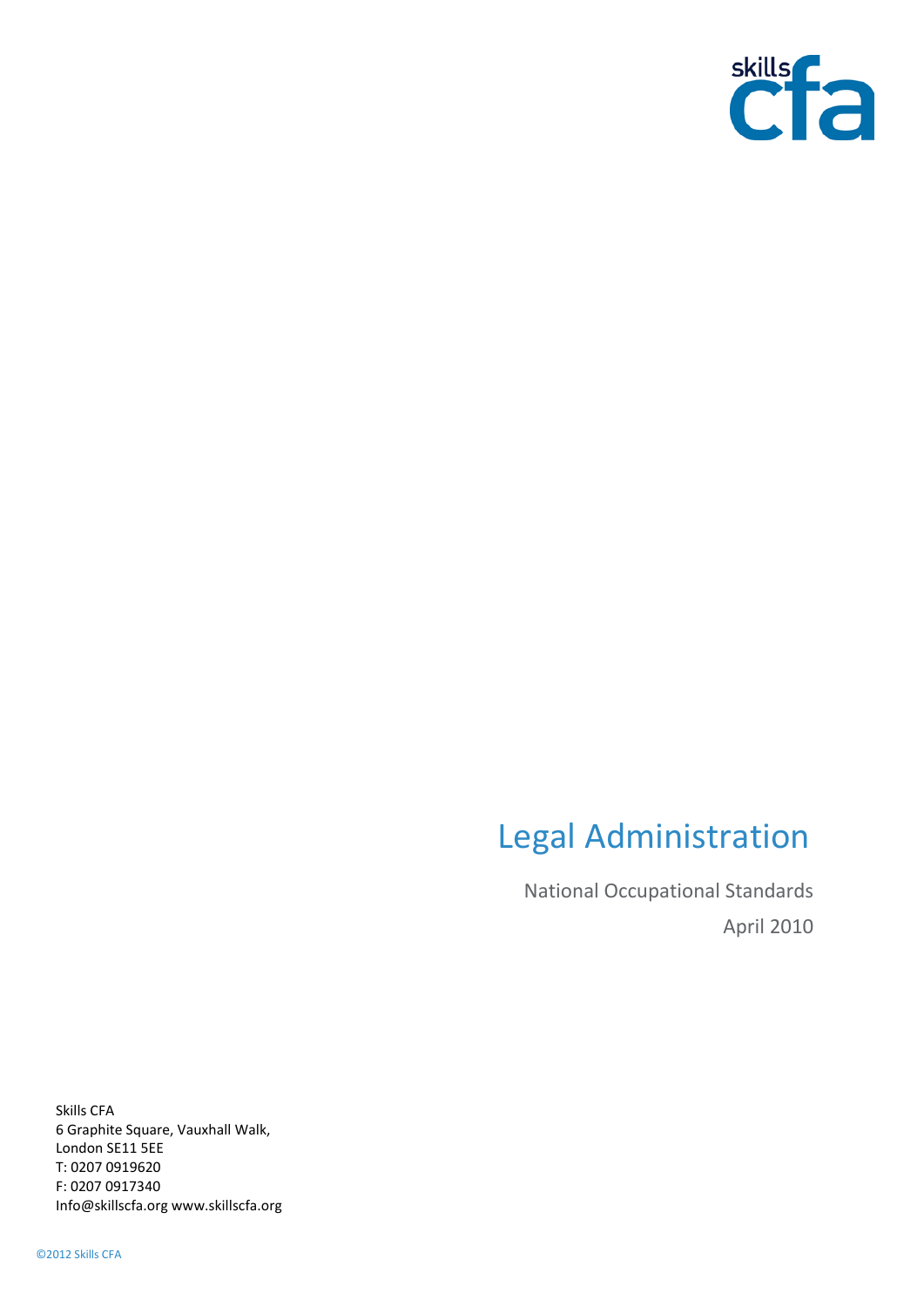

# Legal Administration

National Occupational Standards April 2010

Skills CFA 6 Graphite Square, Vauxhall Walk, London SE11 5EE T: 0207 0919620 F: 0207 0917340 Info@skillscfa.org www.skillscfa.org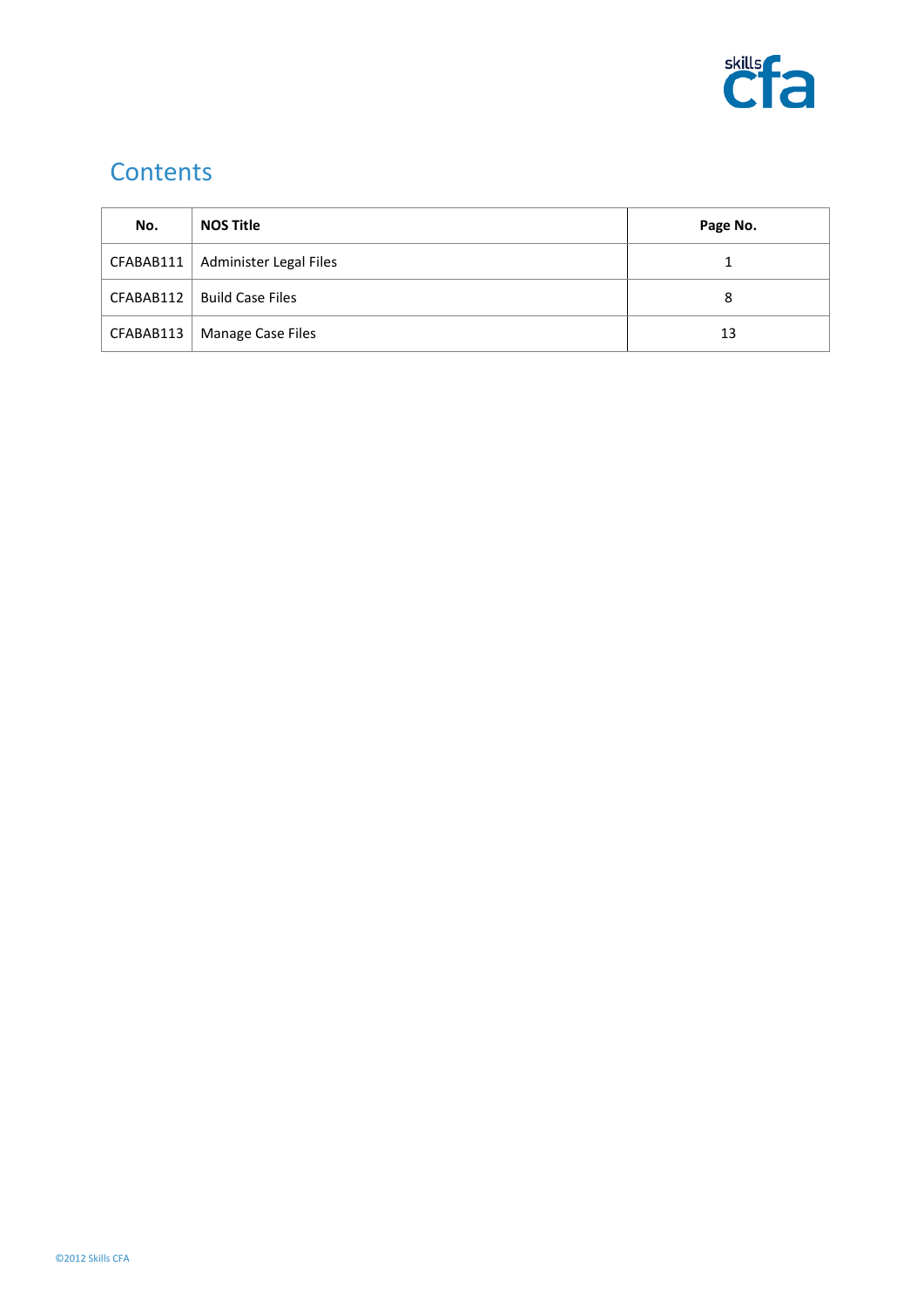

## **Contents**

| No.       | <b>NOS Title</b>       | Page No. |
|-----------|------------------------|----------|
| CFABAB111 | Administer Legal Files |          |
| CFABAB112 | Build Case Files       | 8        |
| CFABAB113 | Manage Case Files      | 13       |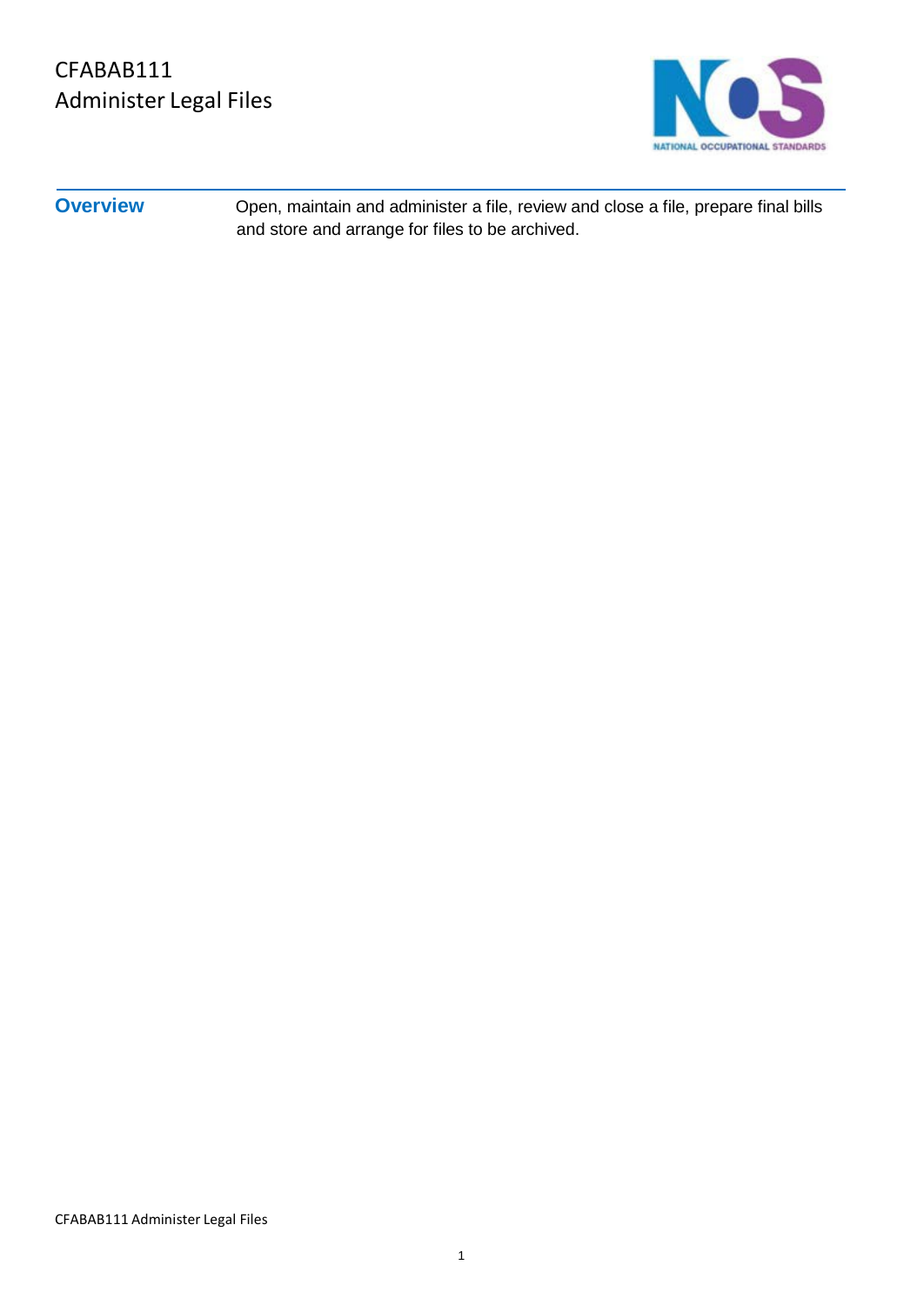

**Overview** Open, maintain and administer a file, review and close a file, prepare final bills and store and arrange for files to be archived.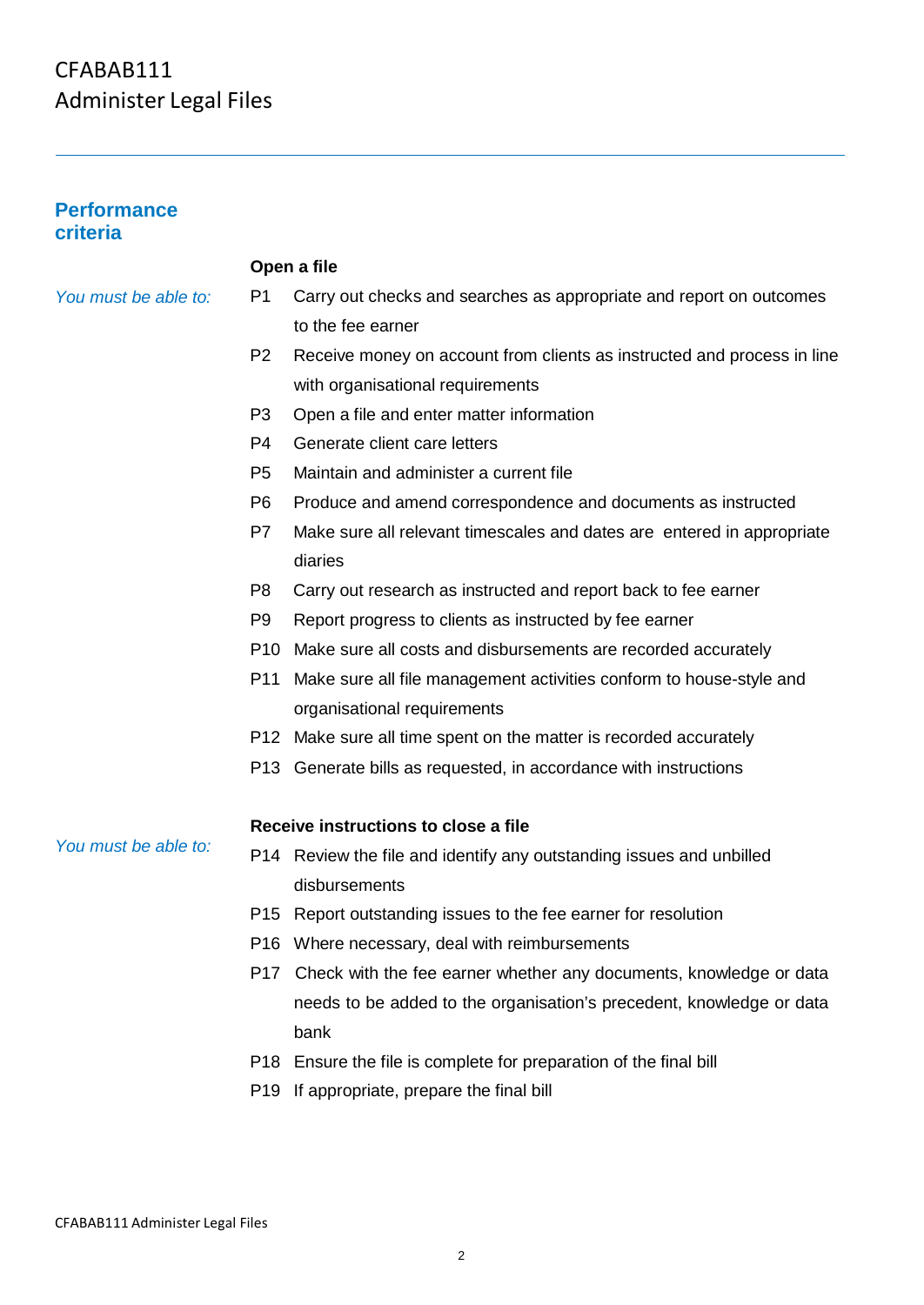| <b>Performance</b> |
|--------------------|
| criteria           |

#### **Open a file**

- *You must be able to:* P1 Carry out checks and searches as appropriate and report on outcomes to the fee earner
	- P2 Receive money on account from clients as instructed and process in line with organisational requirements
	- P3 Open a file and enter matter information
	- P4 Generate client care letters
	- P5 Maintain and administer a current file
	- P6 Produce and amend correspondence and documents as instructed
	- P7 Make sure all relevant timescales and dates are entered in appropriate diaries
	- P8 Carry out research as instructed and report back to fee earner
	- P9 Report progress to clients as instructed by fee earner
	- P10 Make sure all costs and disbursements are recorded accurately
	- P11 Make sure all file management activities conform to house-style and organisational requirements
	- P12 Make sure all time spent on the matter is recorded accurately
	- P13 Generate bills as requested, in accordance with instructions

#### **Receive instructions to close a file**

*You must be able to:*

- P14 Review the file and identify any outstanding issues and unbilled disbursements
- P15 Report outstanding issues to the fee earner for resolution
- P16 Where necessary, deal with reimbursements
- P17 Check with the fee earner whether any documents, knowledge or data needs to be added to the organisation's precedent, knowledge or data bank
- P18 Ensure the file is complete for preparation of the final bill
- P19 If appropriate, prepare the final bill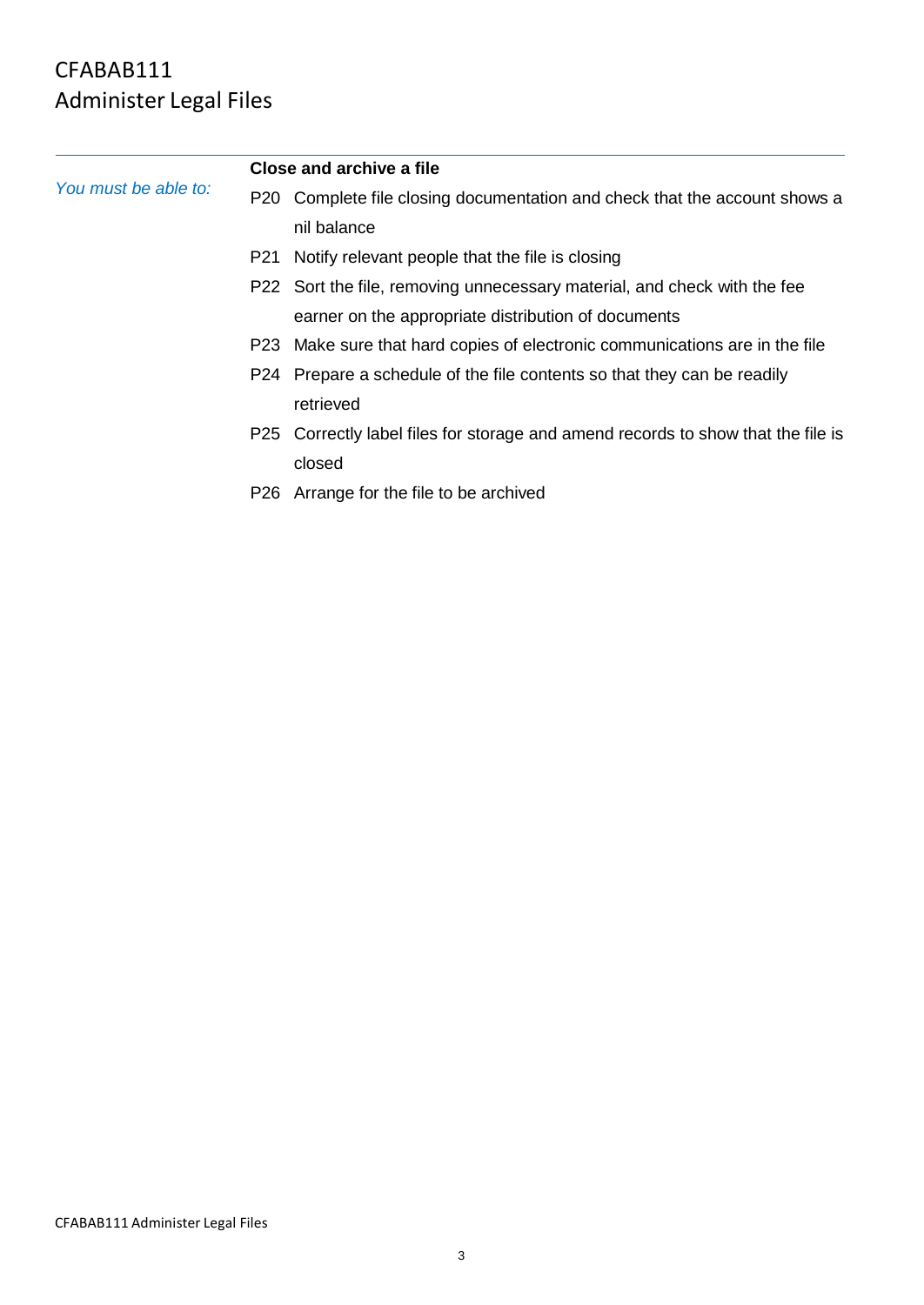|                      | Close and archive a file |                                                                                  |  |
|----------------------|--------------------------|----------------------------------------------------------------------------------|--|
| You must be able to: |                          | P20 Complete file closing documentation and check that the account shows a       |  |
|                      |                          | nil balance                                                                      |  |
|                      |                          | P21 Notify relevant people that the file is closing                              |  |
|                      |                          | P22 Sort the file, removing unnecessary material, and check with the fee         |  |
|                      |                          | earner on the appropriate distribution of documents                              |  |
|                      |                          | P23 Make sure that hard copies of electronic communications are in the file      |  |
|                      |                          | P24 Prepare a schedule of the file contents so that they can be readily          |  |
|                      |                          | retrieved                                                                        |  |
|                      |                          | P25 Correctly label files for storage and amend records to show that the file is |  |
|                      |                          | closed                                                                           |  |
|                      |                          | P26 Arrange for the file to be archived                                          |  |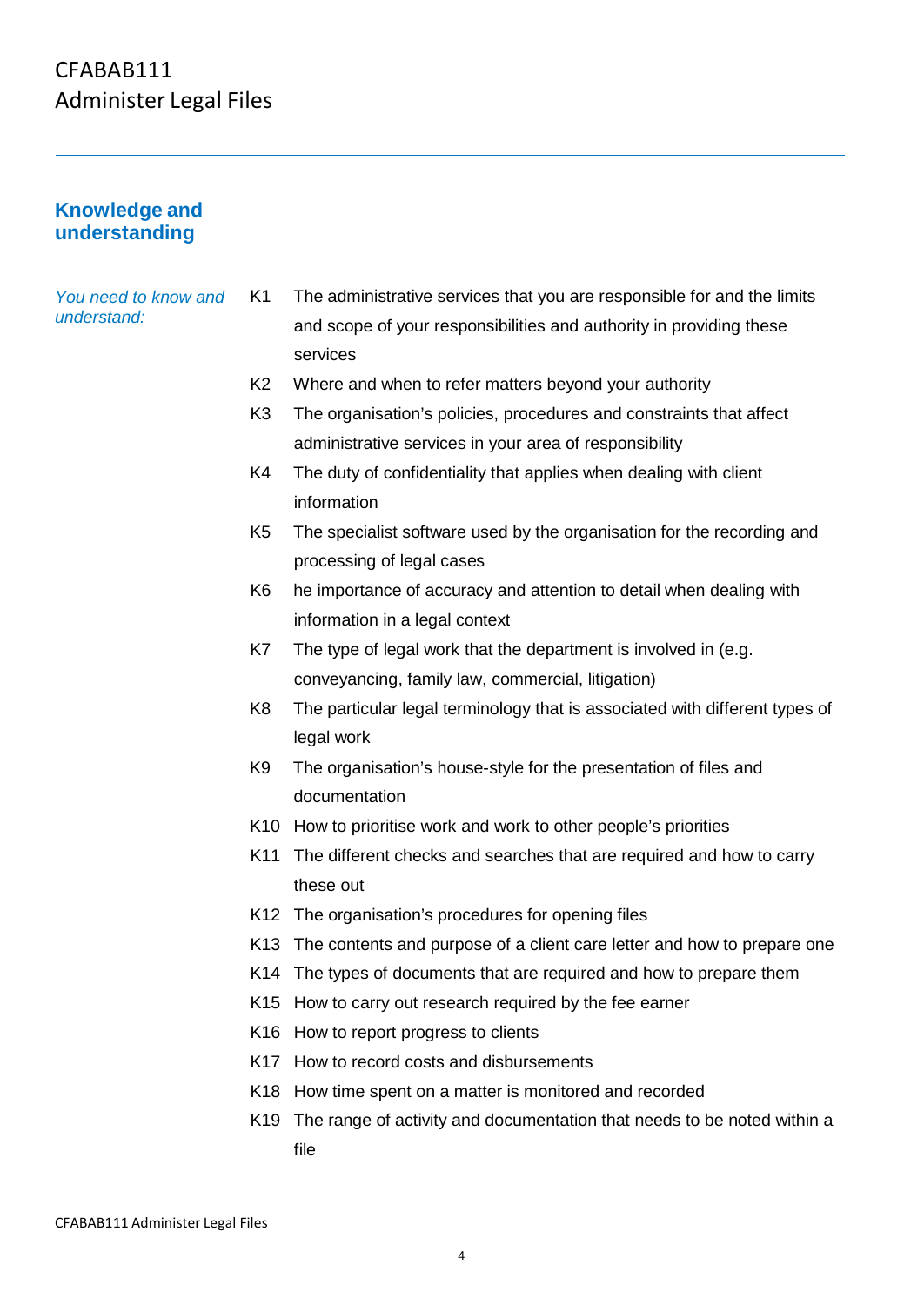#### **Knowledge and understanding**

*You need to know and understand:*

K1 The administrative services that you are responsible for and the limits and scope of your responsibilities and authority in providing these services

- K2 Where and when to refer matters beyond your authority
- K3 The organisation's policies, procedures and constraints that affect administrative services in your area of responsibility
- K4 The duty of confidentiality that applies when dealing with client information
- K5 The specialist software used by the organisation for the recording and processing of legal cases
- K6 he importance of accuracy and attention to detail when dealing with information in a legal context
- K7 The type of legal work that the department is involved in (e.g. conveyancing, family law, commercial, litigation)
- K8 The particular legal terminology that is associated with different types of legal work
- K9 The organisation's house-style for the presentation of files and documentation
- K10 How to prioritise work and work to other people's priorities
- K11 The different checks and searches that are required and how to carry these out
- K12 The organisation's procedures for opening files
- K13 The contents and purpose of a client care letter and how to prepare one
- K14 The types of documents that are required and how to prepare them
- K15 How to carry out research required by the fee earner
- K16 How to report progress to clients
- K17 How to record costs and disbursements
- K18 How time spent on a matter is monitored and recorded
- K19 The range of activity and documentation that needs to be noted within a file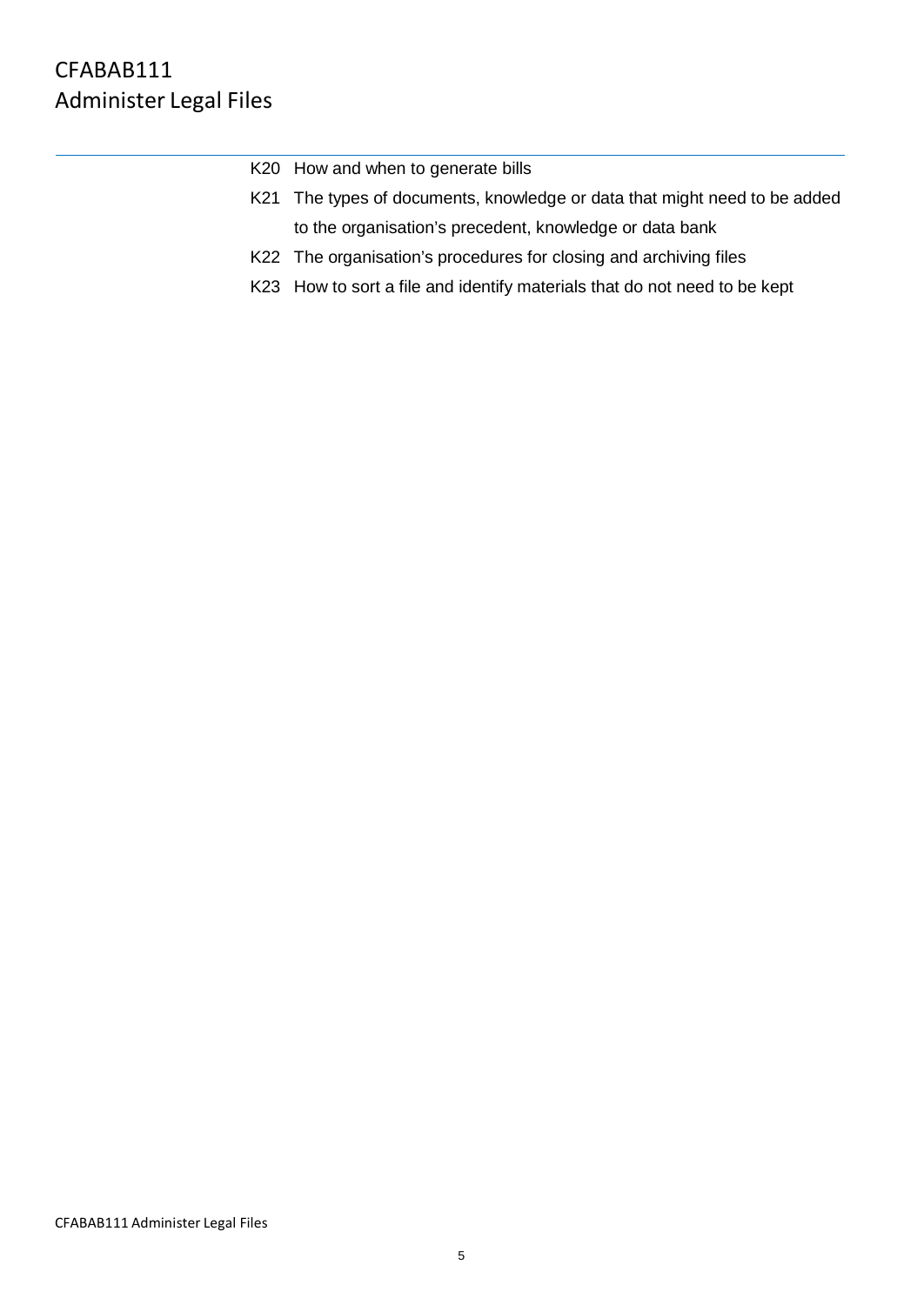| K20 How and when to generate bills                                        |
|---------------------------------------------------------------------------|
| K21 The types of documents, knowledge or data that might need to be added |
| to the organisation's precedent, knowledge or data bank                   |
| K22 The organisation's procedures for closing and archiving files         |
| K23 How to sort a file and identify materials that do not need to be kept |
|                                                                           |
|                                                                           |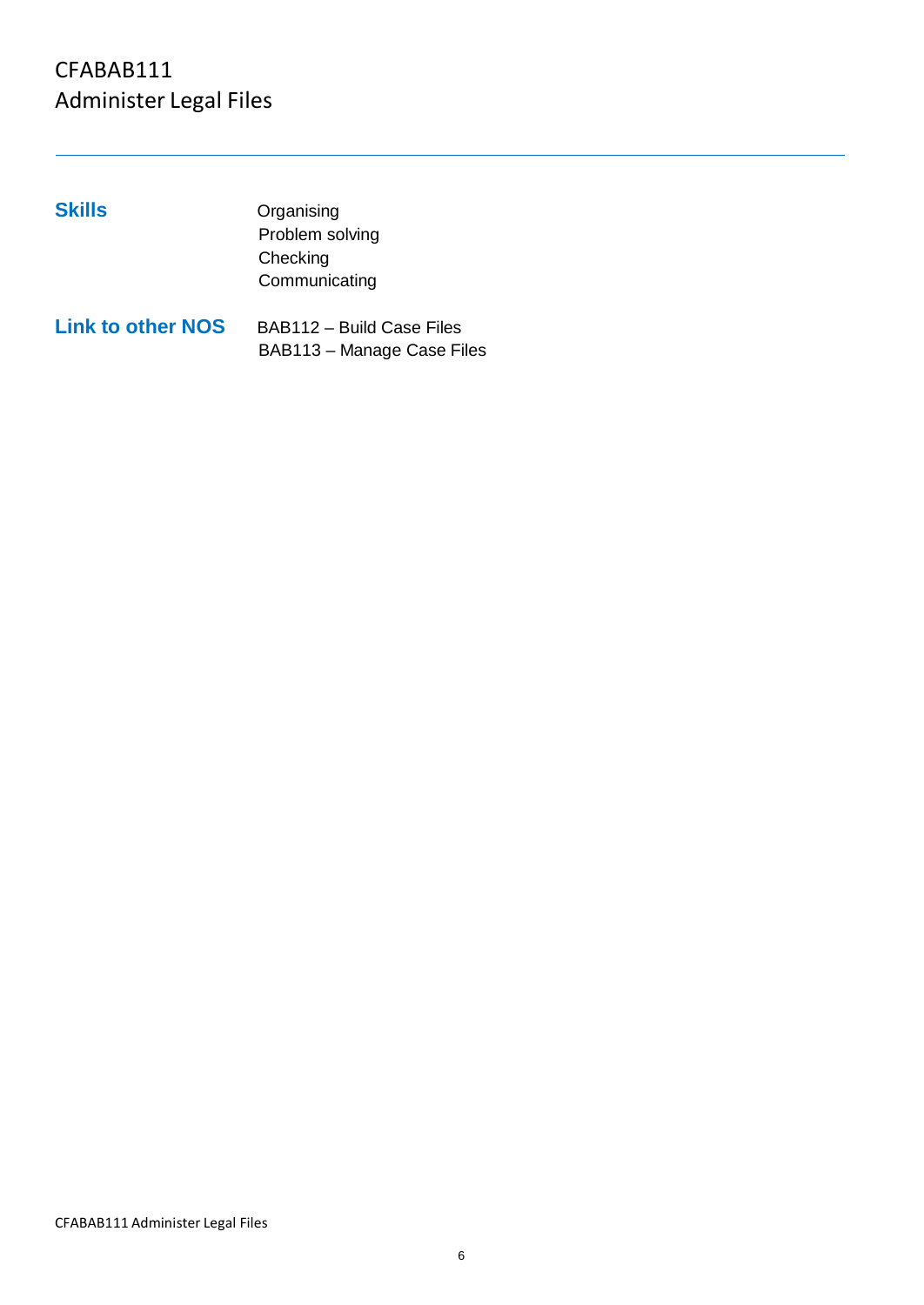#### **Skills** Organising Problem solving **Checking** Communicating **Link to other NOS** BAB112 – Build Case Files

BAB113 – Manage Case Files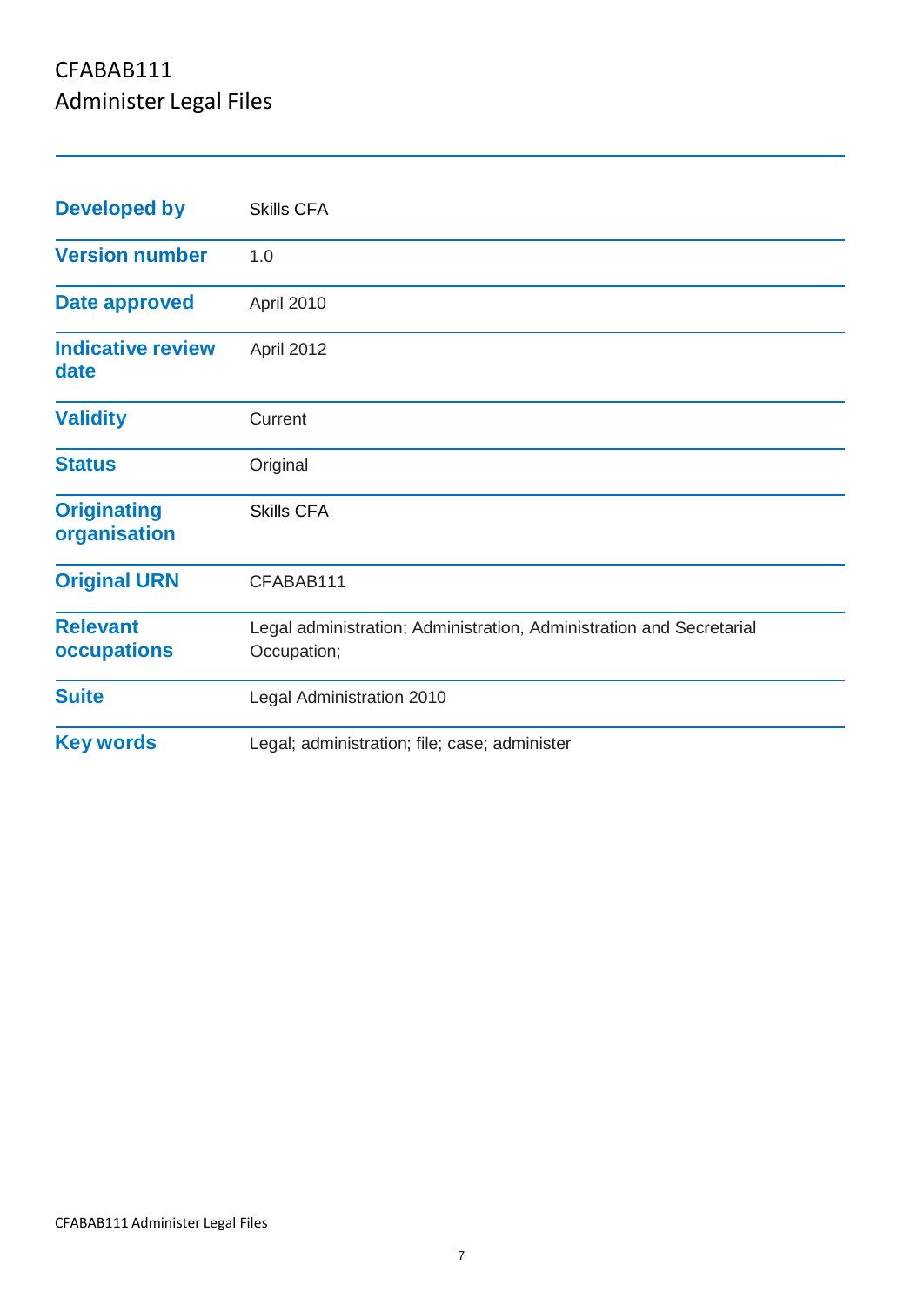| <b>Developed by</b>                | <b>Skills CFA</b>                                                                   |
|------------------------------------|-------------------------------------------------------------------------------------|
| <b>Version number</b>              | 1.0                                                                                 |
| Date approved                      | April 2010                                                                          |
| <b>Indicative review</b><br>date   | April 2012                                                                          |
| <b>Validity</b>                    | Current                                                                             |
| <b>Status</b>                      | Original                                                                            |
| <b>Originating</b><br>organisation | <b>Skills CFA</b>                                                                   |
| <b>Original URN</b>                | CFABAB111                                                                           |
| <b>Relevant</b><br>occupations     | Legal administration; Administration, Administration and Secretarial<br>Occupation; |
| <b>Suite</b>                       | <b>Legal Administration 2010</b>                                                    |
| <b>Key words</b>                   | Legal; administration; file; case; administer                                       |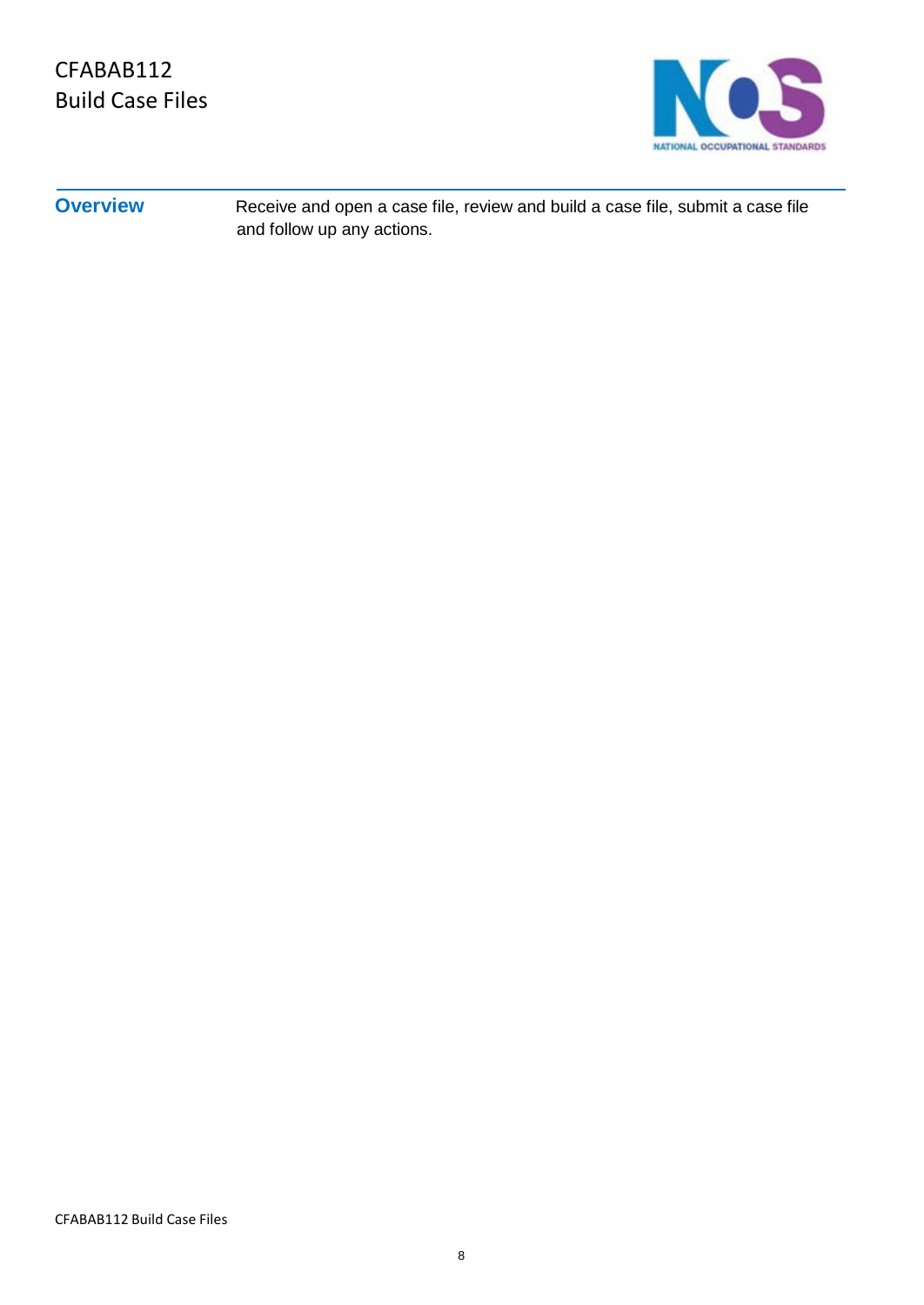

**Overview** Receive and open a case file, review and build a case file, submit a case file and follow up any actions.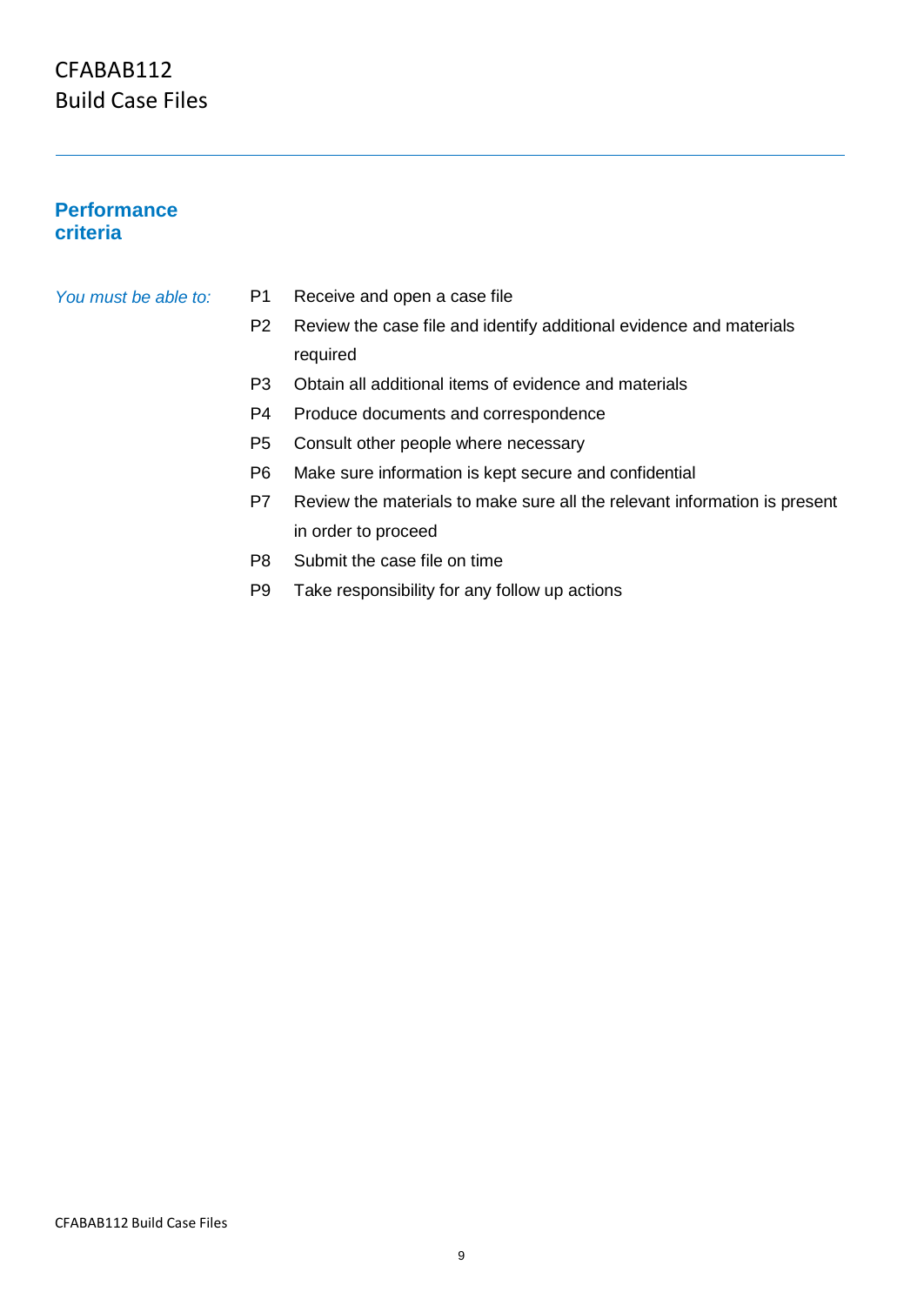#### **Performance criteria**

#### *You must be able to:* P1

- Receive and open a case file
- P2 Review the case file and identify additional evidence and materials required
- P3 Obtain all additional items of evidence and materials
- P4 Produce documents and correspondence
- P5 Consult other people where necessary
- P6 Make sure information is kept secure and confidential
- P7 Review the materials to make sure all the relevant information is present in order to proceed
- P8 Submit the case file on time
- P9 Take responsibility for any follow up actions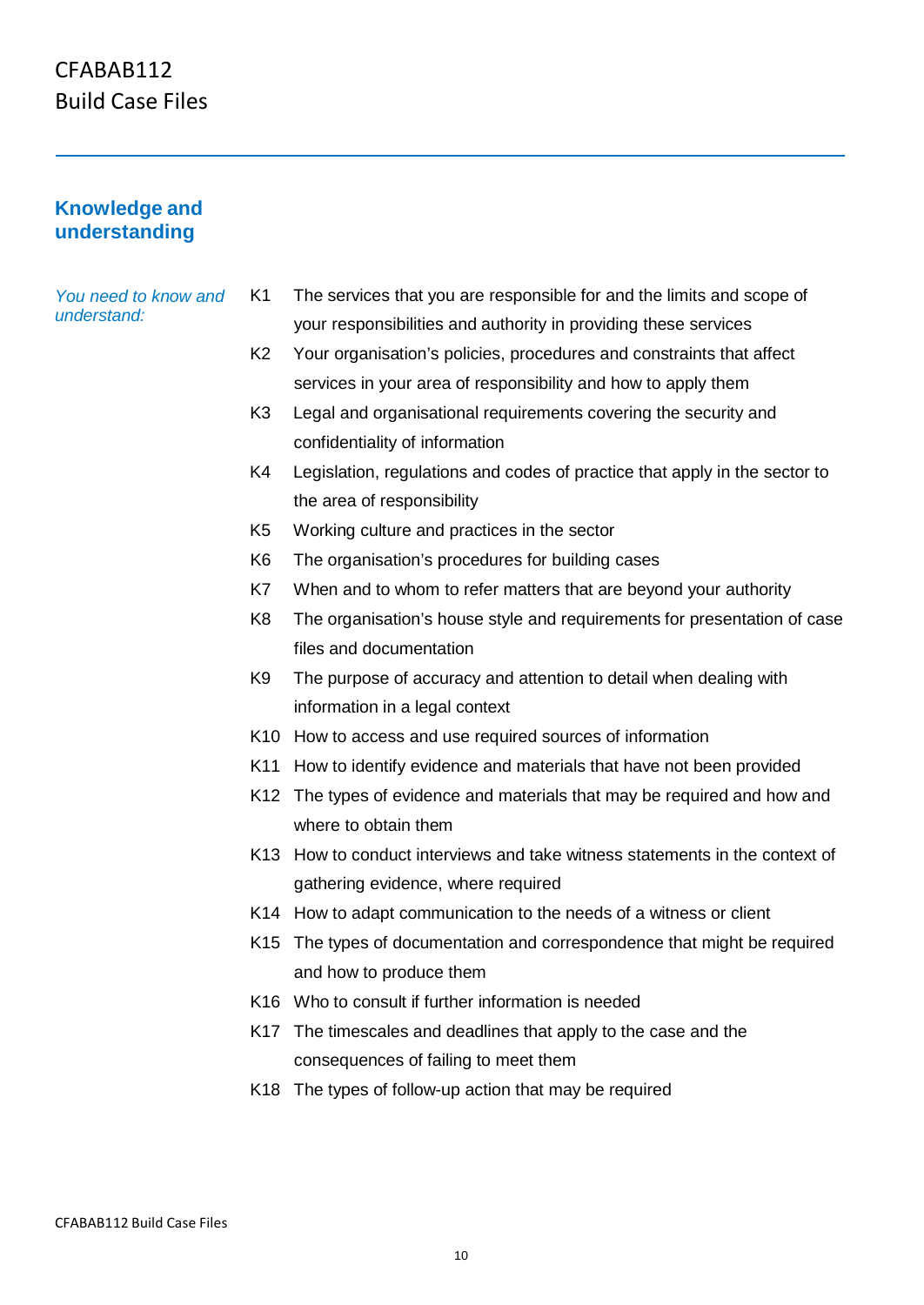#### **Knowledge and understanding**

#### *You need to know and understand:*

- K1 The services that you are responsible for and the limits and scope of your responsibilities and authority in providing these services
- K2 Your organisation's policies, procedures and constraints that affect services in your area of responsibility and how to apply them
- K3 Legal and organisational requirements covering the security and confidentiality of information
- K4 Legislation, regulations and codes of practice that apply in the sector to the area of responsibility
- K5 Working culture and practices in the sector
- K6 The organisation's procedures for building cases
- K7 When and to whom to refer matters that are beyond your authority
- K8 The organisation's house style and requirements for presentation of case files and documentation
- K9 The purpose of accuracy and attention to detail when dealing with information in a legal context
- K10 How to access and use required sources of information
- K11 How to identify evidence and materials that have not been provided
- K12 The types of evidence and materials that may be required and how and where to obtain them
- K13 How to conduct interviews and take witness statements in the context of gathering evidence, where required
- K14 How to adapt communication to the needs of a witness or client
- K15 The types of documentation and correspondence that might be required and how to produce them
- K16 Who to consult if further information is needed
- K17 The timescales and deadlines that apply to the case and the consequences of failing to meet them
- K18 The types of follow-up action that may be required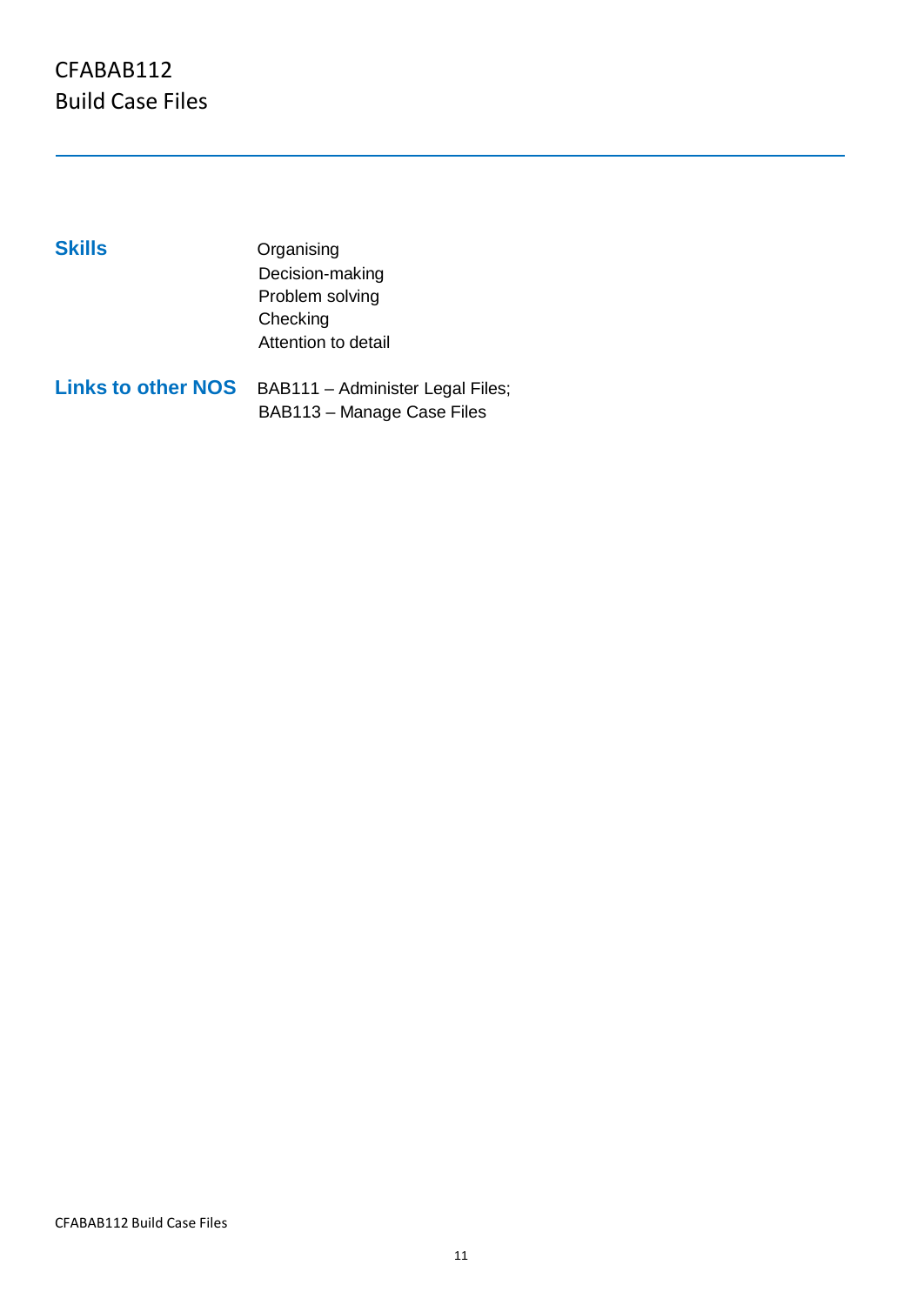| <b>Skills</b>             | Organising                       |
|---------------------------|----------------------------------|
|                           | Decision-making                  |
|                           | Problem solving                  |
|                           | Checking                         |
|                           | Attention to detail              |
| <b>Links to other NOS</b> | BAB111 - Administer Legal Files; |
|                           | BAB113 - Manage Case Files       |

CFABAB112 Build Case Files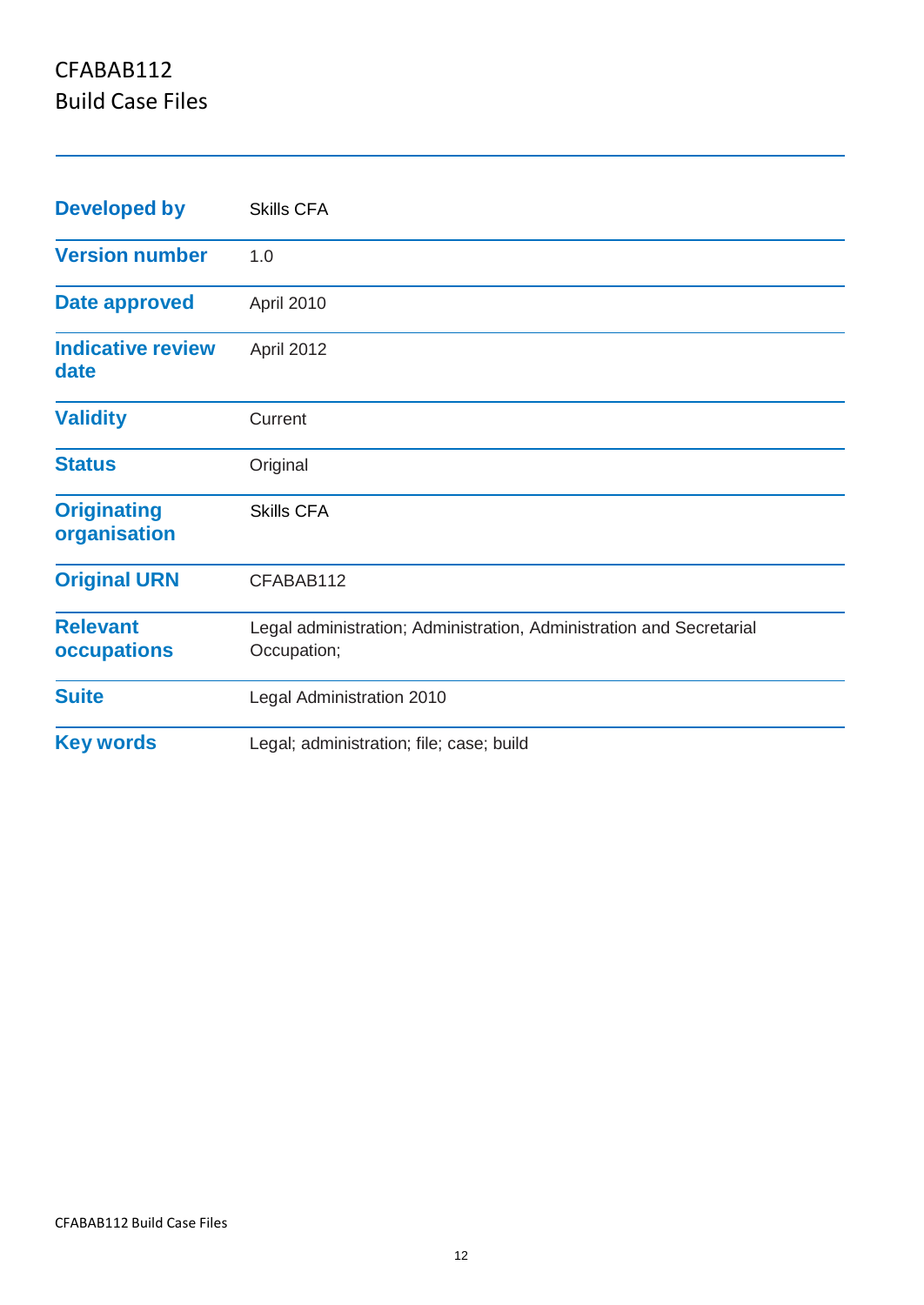| <b>Developed by</b>                   | <b>Skills CFA</b>                                                                   |
|---------------------------------------|-------------------------------------------------------------------------------------|
| <b>Version number</b>                 | 1.0                                                                                 |
| <b>Date approved</b>                  | April 2010                                                                          |
| <b>Indicative review</b><br>date      | April 2012                                                                          |
| <b>Validity</b>                       | Current                                                                             |
| <b>Status</b>                         | Original                                                                            |
| <b>Originating</b><br>organisation    | <b>Skills CFA</b>                                                                   |
| <b>Original URN</b>                   | CFABAB112                                                                           |
| <b>Relevant</b><br><b>occupations</b> | Legal administration; Administration, Administration and Secretarial<br>Occupation; |
| <b>Suite</b>                          | Legal Administration 2010                                                           |
| <b>Key words</b>                      | Legal; administration; file; case; build                                            |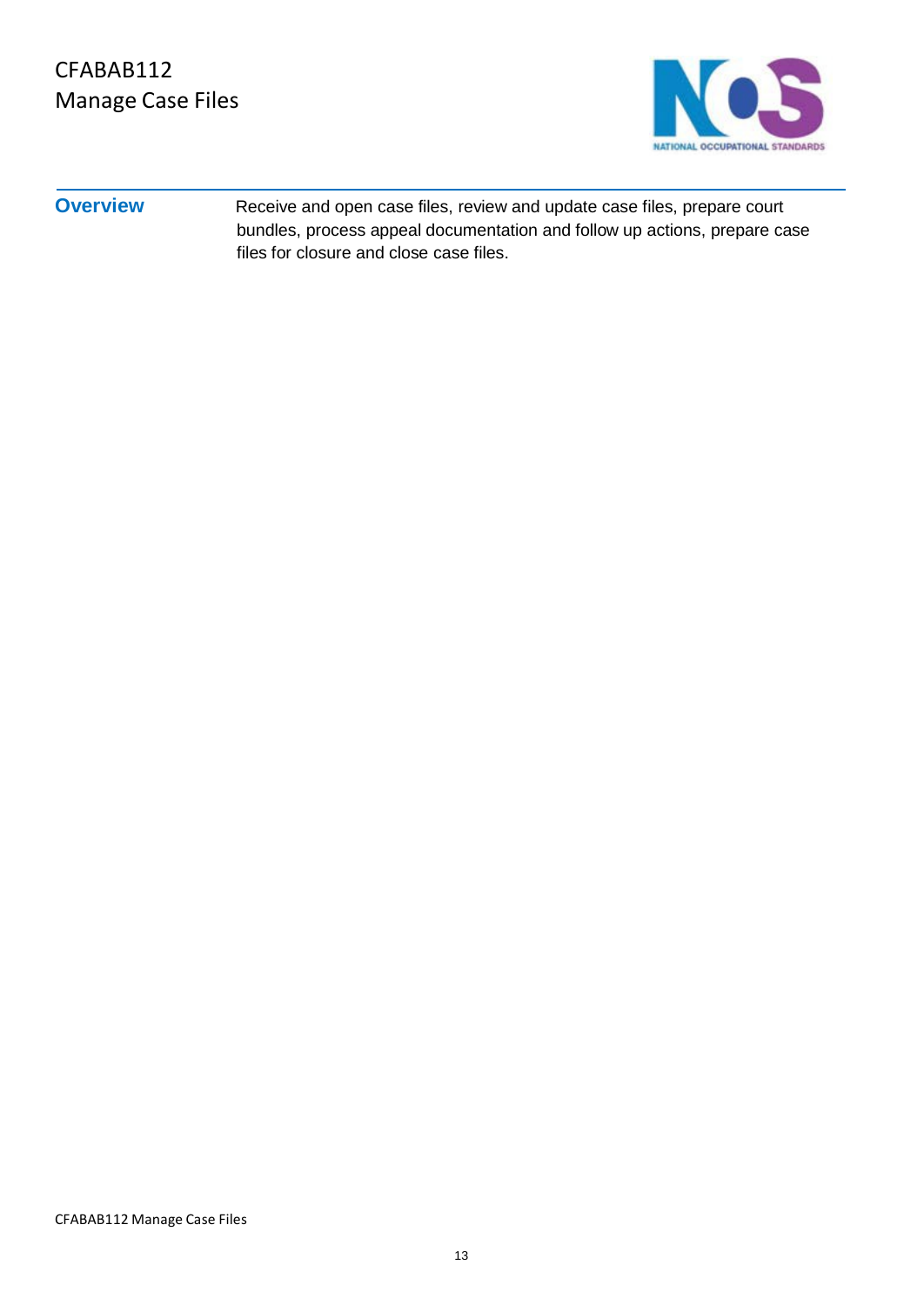

**Overview** Receive and open case files, review and update case files, prepare court bundles, process appeal documentation and follow up actions, prepare case files for closure and close case files.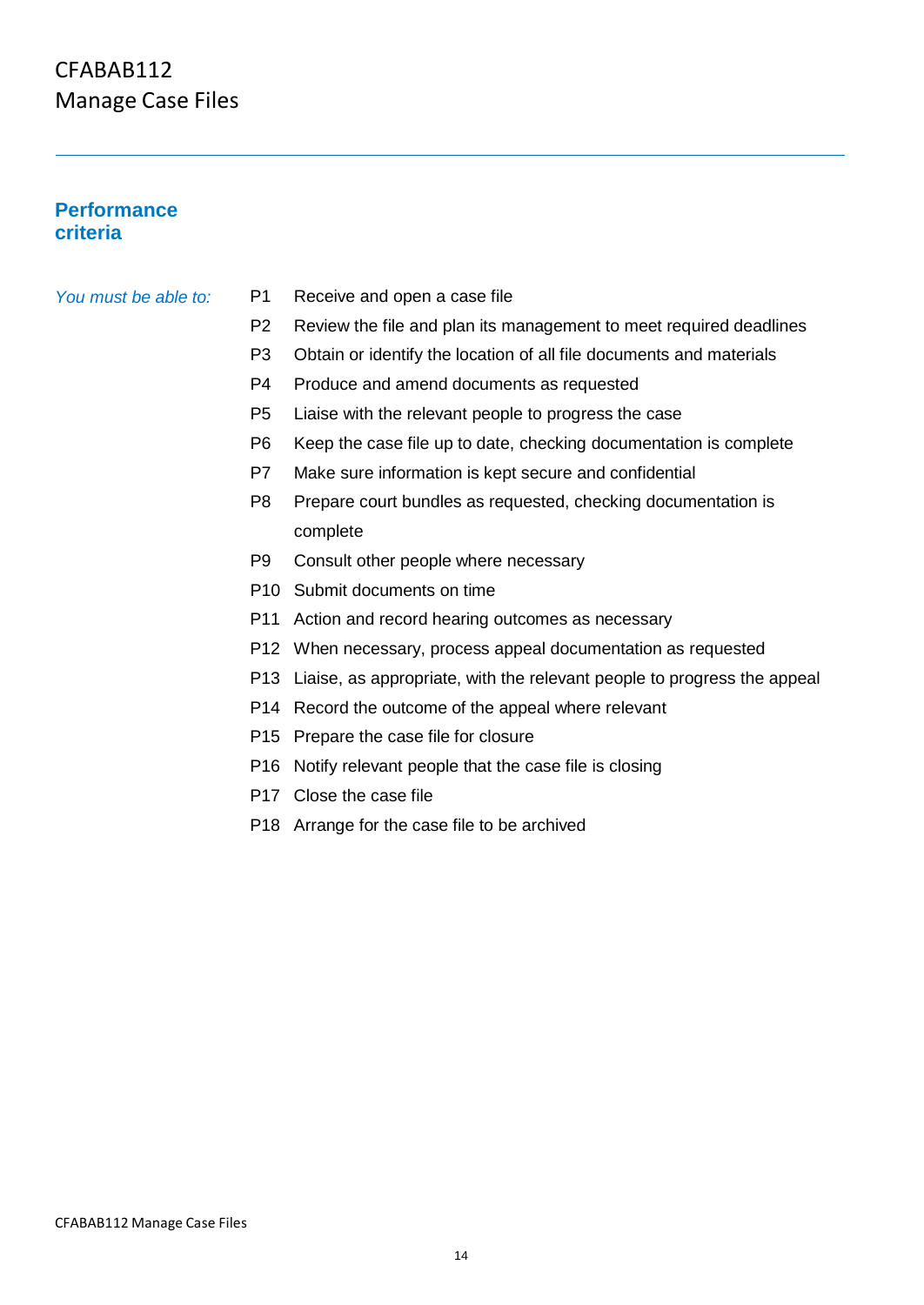#### **Performance criteria**

#### *You must be able to:* P1

- Receive and open a case file
- P2 Review the file and plan its management to meet required deadlines
- P3 Obtain or identify the location of all file documents and materials
- P4 Produce and amend documents as requested
- P5 Liaise with the relevant people to progress the case
- P6 Keep the case file up to date, checking documentation is complete
- P7 Make sure information is kept secure and confidential
- P8 Prepare court bundles as requested, checking documentation is complete
- P9 Consult other people where necessary
- P10 Submit documents on time
- P11 Action and record hearing outcomes as necessary
- P12 When necessary, process appeal documentation as requested
- P13 Liaise, as appropriate, with the relevant people to progress the appeal
- P14 Record the outcome of the appeal where relevant
- P15 Prepare the case file for closure
- P16 Notify relevant people that the case file is closing
- P17 Close the case file
- P18 Arrange for the case file to be archived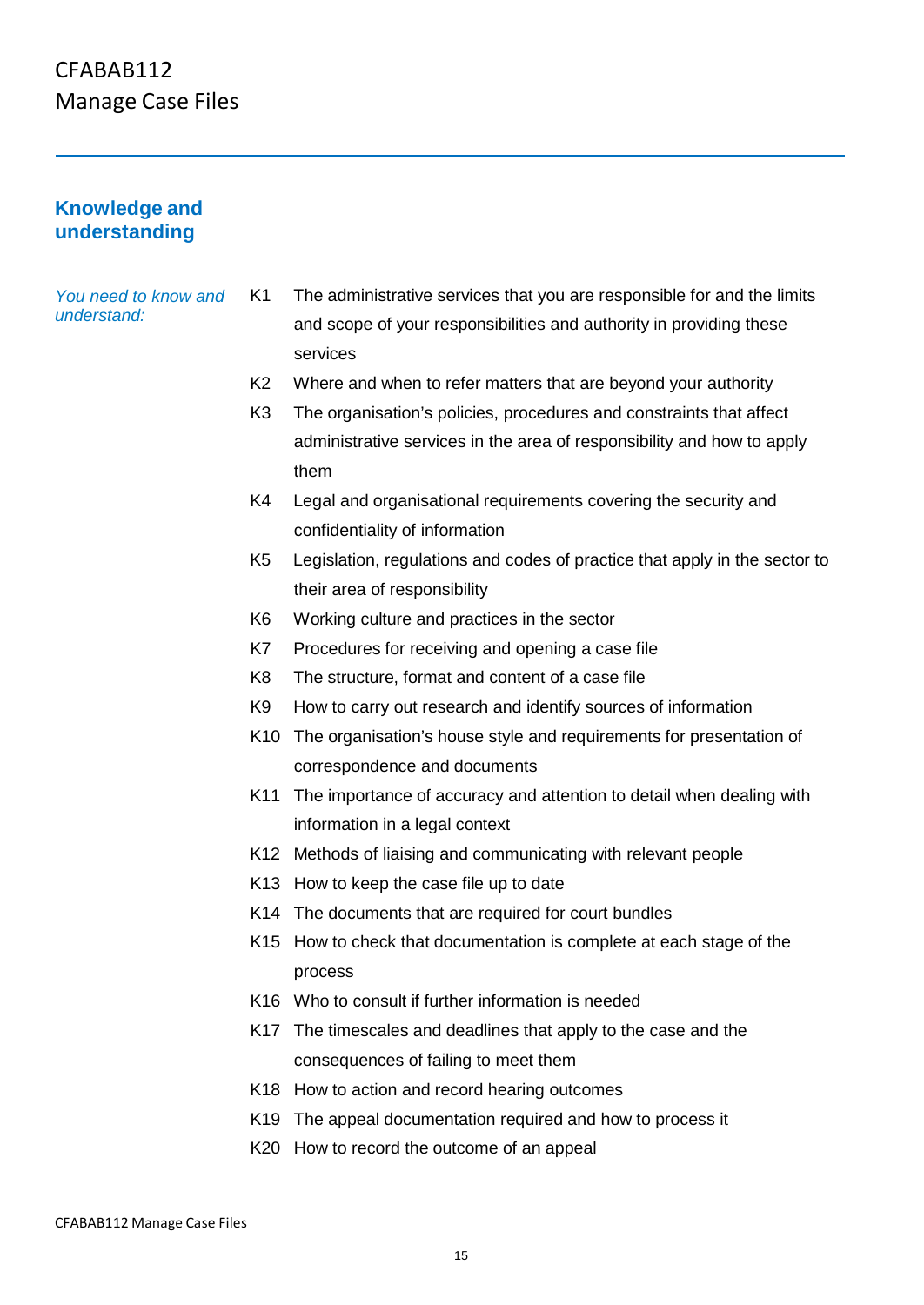#### **Knowledge and understanding**

*You need to know and understand:*

K1 The administrative services that you are responsible for and the limits and scope of your responsibilities and authority in providing these services

- K2 Where and when to refer matters that are beyond your authority
- K3 The organisation's policies, procedures and constraints that affect administrative services in the area of responsibility and how to apply them
- K4 Legal and organisational requirements covering the security and confidentiality of information
- K5 Legislation, regulations and codes of practice that apply in the sector to their area of responsibility
- K6 Working culture and practices in the sector
- K7 Procedures for receiving and opening a case file
- K8 The structure, format and content of a case file
- K9 How to carry out research and identify sources of information
- K10 The organisation's house style and requirements for presentation of correspondence and documents
- K11 The importance of accuracy and attention to detail when dealing with information in a legal context
- K12 Methods of liaising and communicating with relevant people
- K13 How to keep the case file up to date
- K14 The documents that are required for court bundles
- K15 How to check that documentation is complete at each stage of the process
- K16 Who to consult if further information is needed
- K17 The timescales and deadlines that apply to the case and the consequences of failing to meet them
- K18 How to action and record hearing outcomes
- K19 The appeal documentation required and how to process it
- K20 How to record the outcome of an appeal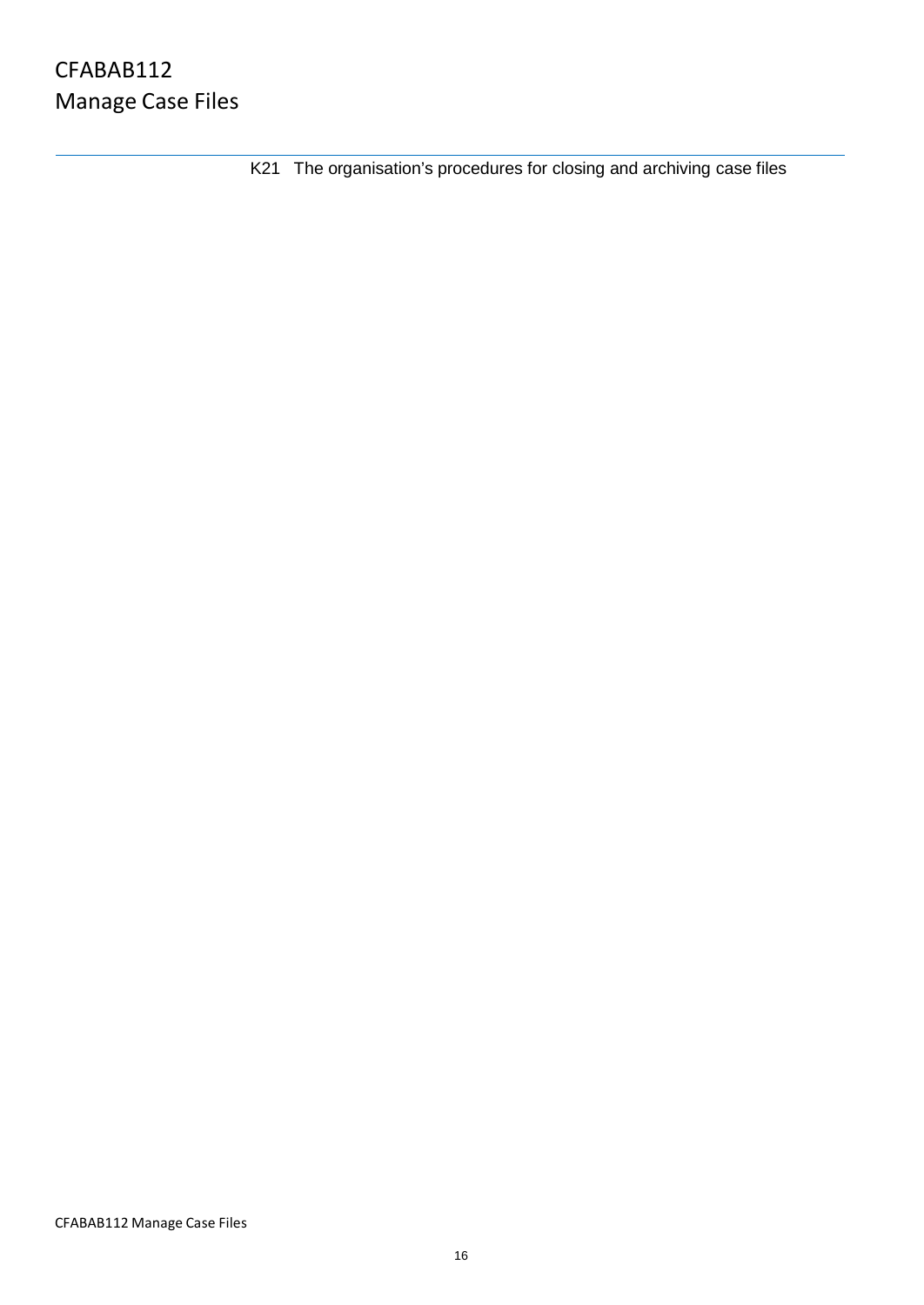K21 The organisation's procedures for closing and archiving case files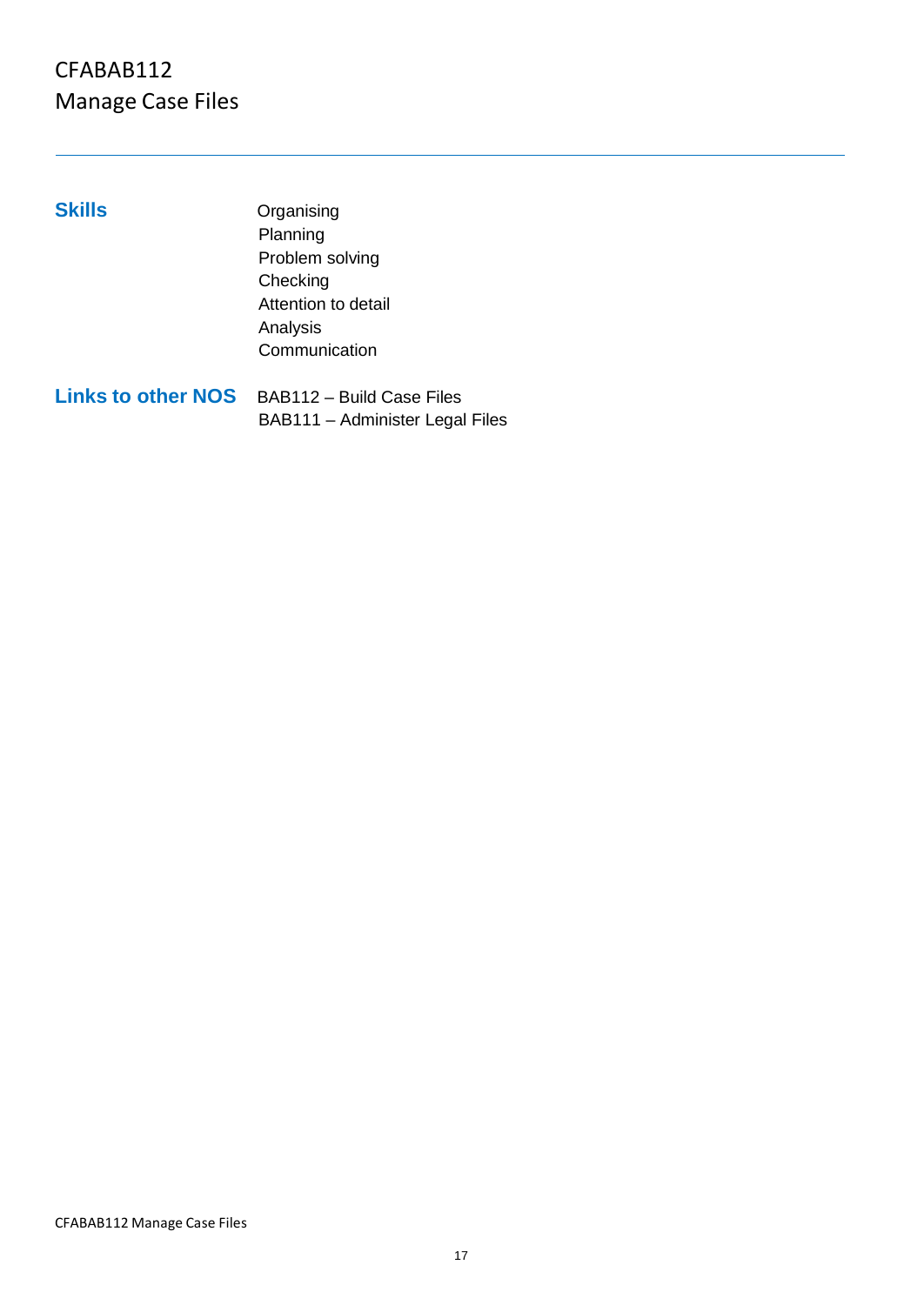**Skills** Organising Planning Problem solving **Checking** Attention to detail Analysis **Communication** 

**Links to other NOS** BAB112 – Build Case Files BAB111 – Administer Legal Files